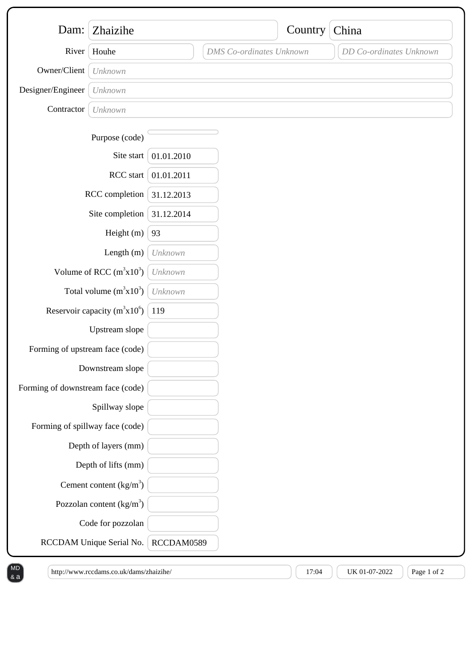| Dam:                              | Zhaizihe                   |            |                                 | Country | China                   |
|-----------------------------------|----------------------------|------------|---------------------------------|---------|-------------------------|
| River                             | Houhe                      |            | <b>DMS</b> Co-ordinates Unknown |         | DD Co-ordinates Unknown |
| Owner/Client                      | Unknown                    |            |                                 |         |                         |
| Designer/Engineer                 | Unknown                    |            |                                 |         |                         |
| Contractor                        | Unknown                    |            |                                 |         |                         |
|                                   | Purpose (code)             |            |                                 |         |                         |
|                                   | Site start                 | 01.01.2010 |                                 |         |                         |
| RCC start                         |                            | 01.01.2011 |                                 |         |                         |
| RCC completion                    |                            | 31.12.2013 |                                 |         |                         |
| Site completion                   |                            | 31.12.2014 |                                 |         |                         |
| Height (m)                        |                            | 93         |                                 |         |                         |
| Length $(m)$                      |                            | Unknown    |                                 |         |                         |
| Volume of RCC $(m^3x10^3)$        |                            | Unknown    |                                 |         |                         |
| Total volume $(m^3x10^3)$         |                            | Unknown    |                                 |         |                         |
| Reservoir capacity $(m^3x10^6)$   |                            | 119        |                                 |         |                         |
| Upstream slope                    |                            |            |                                 |         |                         |
| Forming of upstream face (code)   |                            |            |                                 |         |                         |
| Downstream slope                  |                            |            |                                 |         |                         |
| Forming of downstream face (code) |                            |            |                                 |         |                         |
| Spillway slope                    |                            |            |                                 |         |                         |
| Forming of spillway face (code)   |                            |            |                                 |         |                         |
|                                   | Depth of layers (mm)       |            |                                 |         |                         |
|                                   | Depth of lifts (mm)        |            |                                 |         |                         |
|                                   | Cement content $(kg/m3)$   |            |                                 |         |                         |
|                                   | Pozzolan content $(kg/m3)$ |            |                                 |         |                         |
|                                   | Code for pozzolan          |            |                                 |         |                         |
|                                   | RCCDAM Unique Serial No.   | RCCDAM0589 |                                 |         |                         |

 $\left(\frac{\text{http://www.rccdams.co.uk/damszhaizihe}}{\text{http://www.rccdams.co.uk/damszhaizihe}}\right) \left(\frac{\text{http://www.rccdams.co.uk/damszhaizihe}}{\text{http://www.rccdams.co.uk/damszhaizihe}}\right)$ 

& a